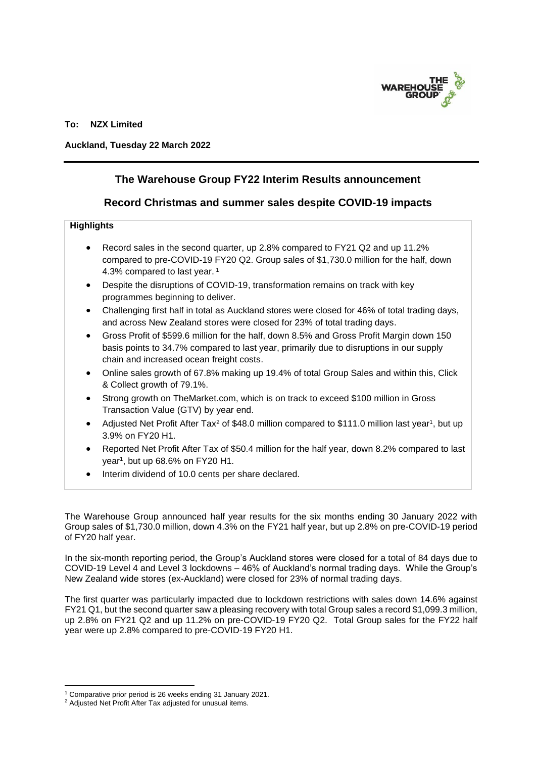

## **To: NZX Limited**

### **Auckland, Tuesday 22 March 2022**

# **The Warehouse Group FY22 Interim Results announcement**

## **Record Christmas and summer sales despite COVID-19 impacts**

## **Highlights**

- Record sales in the second quarter, up 2.8% compared to FY21 Q2 and up 11.2% compared to pre-COVID-19 FY20 Q2. Group sales of \$1,730.0 million for the half, down 4.3% compared to last year. <sup>1</sup>
- Despite the disruptions of COVID-19, transformation remains on track with key programmes beginning to deliver.
- Challenging first half in total as Auckland stores were closed for 46% of total trading days, and across New Zealand stores were closed for 23% of total trading days.
- Gross Profit of \$599.6 million for the half, down 8.5% and Gross Profit Margin down 150 basis points to 34.7% compared to last year, primarily due to disruptions in our supply chain and increased ocean freight costs.
- Online sales growth of 67.8% making up 19.4% of total Group Sales and within this, Click & Collect growth of 79.1%.
- Strong growth on TheMarket.com, which is on track to exceed \$100 million in Gross Transaction Value (GTV) by year end.
- Adjusted Net Profit After Tax<sup>2</sup> of \$48.0 million compared to \$111.0 million last year<sup>1</sup>, but up 3.9% on FY20 H1.
- Reported Net Profit After Tax of \$50.4 million for the half year, down 8.2% compared to last year<sup>1</sup>, but up 68.6% on FY20 H1.
- Interim dividend of 10.0 cents per share declared.

The Warehouse Group announced half year results for the six months ending 30 January 2022 with Group sales of \$1,730.0 million, down 4.3% on the FY21 half year, but up 2.8% on pre-COVID-19 period of FY20 half year.

In the six-month reporting period, the Group's Auckland stores were closed for a total of 84 days due to COVID-19 Level 4 and Level 3 lockdowns – 46% of Auckland's normal trading days. While the Group's New Zealand wide stores (ex-Auckland) were closed for 23% of normal trading days.

The first quarter was particularly impacted due to lockdown restrictions with sales down 14.6% against FY21 Q1, but the second quarter saw a pleasing recovery with total Group sales a record \$1,099.3 million, up 2.8% on FY21 Q2 and up 11.2% on pre-COVID-19 FY20 Q2. Total Group sales for the FY22 half year were up 2.8% compared to pre-COVID-19 FY20 H1.

<sup>1</sup> Comparative prior period is 26 weeks ending 31 January 2021.

<sup>2</sup> Adjusted Net Profit After Tax adjusted for unusual items.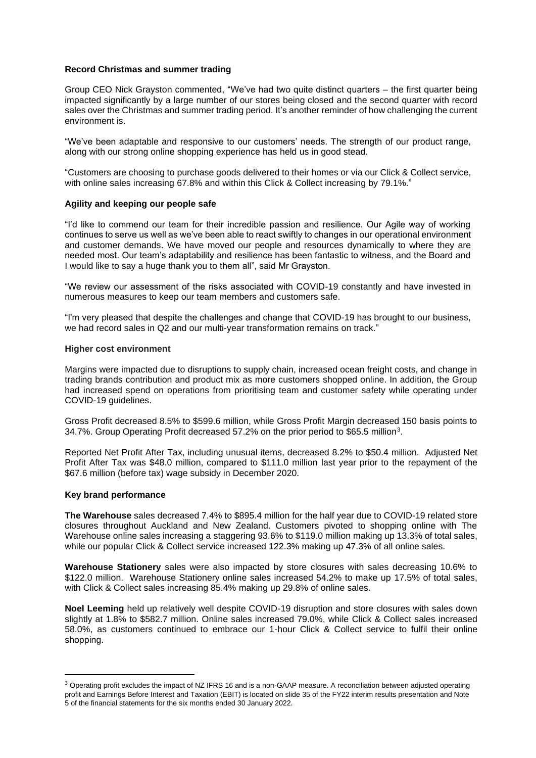### **Record Christmas and summer trading**

Group CEO Nick Grayston commented, "We've had two quite distinct quarters – the first quarter being impacted significantly by a large number of our stores being closed and the second quarter with record sales over the Christmas and summer trading period. It's another reminder of how challenging the current environment is.

"We've been adaptable and responsive to our customers' needs. The strength of our product range, along with our strong online shopping experience has held us in good stead.

"Customers are choosing to purchase goods delivered to their homes or via our Click & Collect service, with online sales increasing 67.8% and within this Click & Collect increasing by 79.1%."

### **Agility and keeping our people safe**

"I'd like to commend our team for their incredible passion and resilience. Our Agile way of working continues to serve us well as we've been able to react swiftly to changes in our operational environment and customer demands. We have moved our people and resources dynamically to where they are needed most. Our team's adaptability and resilience has been fantastic to witness, and the Board and I would like to say a huge thank you to them all", said Mr Grayston.

"We review our assessment of the risks associated with COVID-19 constantly and have invested in numerous measures to keep our team members and customers safe.

"I'm very pleased that despite the challenges and change that COVID-19 has brought to our business, we had record sales in Q2 and our multi-year transformation remains on track."

### **Higher cost environment**

Margins were impacted due to disruptions to supply chain, increased ocean freight costs, and change in trading brands contribution and product mix as more customers shopped online. In addition, the Group had increased spend on operations from prioritising team and customer safety while operating under COVID-19 guidelines.

Gross Profit decreased 8.5% to \$599.6 million, while Gross Profit Margin decreased 150 basis points to 34.7%. Group Operating Profit decreased 57.2% on the prior period to \$65.5 million<sup>3</sup> .

Reported Net Profit After Tax, including unusual items, decreased 8.2% to \$50.4 million. Adjusted Net Profit After Tax was \$48.0 million, compared to \$111.0 million last year prior to the repayment of the \$67.6 million (before tax) wage subsidy in December 2020.

### **Key brand performance**

**The Warehouse** sales decreased 7.4% to \$895.4 million for the half year due to COVID-19 related store closures throughout Auckland and New Zealand. Customers pivoted to shopping online with The Warehouse online sales increasing a staggering 93.6% to \$119.0 million making up 13.3% of total sales, while our popular Click & Collect service increased 122.3% making up 47.3% of all online sales.

**Warehouse Stationery** sales were also impacted by store closures with sales decreasing 10.6% to \$122.0 million. Warehouse Stationery online sales increased 54.2% to make up 17.5% of total sales, with Click & Collect sales increasing 85.4% making up 29.8% of online sales.

**Noel Leeming** held up relatively well despite COVID-19 disruption and store closures with sales down slightly at 1.8% to \$582.7 million. Online sales increased 79.0%, while Click & Collect sales increased 58.0%, as customers continued to embrace our 1-hour Click & Collect service to fulfil their online shopping.

<sup>&</sup>lt;sup>3</sup> Operating profit excludes the impact of NZ IFRS 16 and is a non-GAAP measure. A reconciliation between adjusted operating profit and Earnings Before Interest and Taxation (EBIT) is located on slide 35 of the FY22 interim results presentation and Note 5 of the financial statements for the six months ended 30 January 2022.